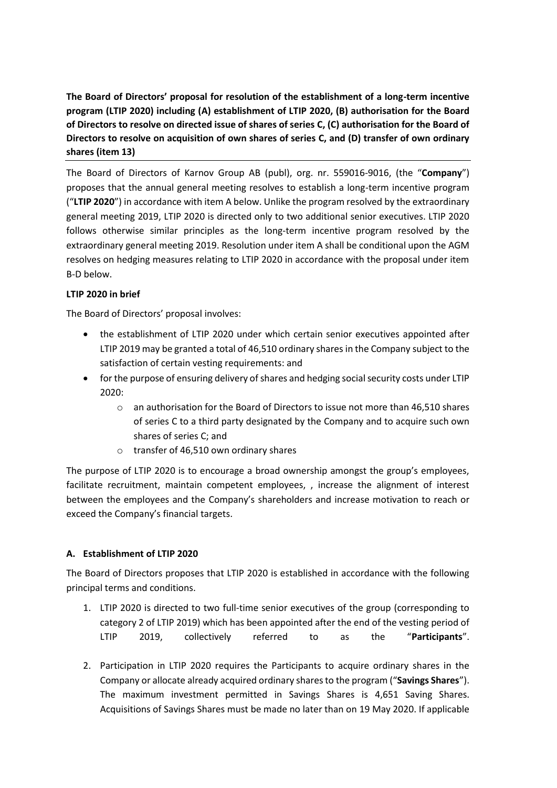**The Board of Directors' proposal for resolution of the establishment of a long-term incentive program (LTIP 2020) including (A) establishment of LTIP 2020, (B) authorisation for the Board of Directors to resolve on directed issue of shares of series C, (C) authorisation for the Board of Directors to resolve on acquisition of own shares of series C, and (D) transfer of own ordinary shares (item 13)**

The Board of Directors of Karnov Group AB (publ), org. nr. 559016-9016, (the "**Company**") proposes that the annual general meeting resolves to establish a long-term incentive program ("**LTIP 2020**") in accordance with item A below. Unlike the program resolved by the extraordinary general meeting 2019, LTIP 2020 is directed only to two additional senior executives. LTIP 2020 follows otherwise similar principles as the long-term incentive program resolved by the extraordinary general meeting 2019. Resolution under item A shall be conditional upon the AGM resolves on hedging measures relating to LTIP 2020 in accordance with the proposal under item B-D below.

## **LTIP 2020 in brief**

The Board of Directors' proposal involves:

- the establishment of LTIP 2020 under which certain senior executives appointed after LTIP 2019 may be granted a total of 46,510 ordinary shares in the Company subject to the satisfaction of certain vesting requirements: and
- for the purpose of ensuring delivery of shares and hedging social security costs under LTIP 2020:
	- $\circ$  an authorisation for the Board of Directors to issue not more than 46,510 shares of series C to a third party designated by the Company and to acquire such own shares of series C; and
	- o transfer of 46,510 own ordinary shares

The purpose of LTIP 2020 is to encourage a broad ownership amongst the group's employees, facilitate recruitment, maintain competent employees, , increase the alignment of interest between the employees and the Company's shareholders and increase motivation to reach or exceed the Company's financial targets.

### **A. Establishment of LTIP 2020**

The Board of Directors proposes that LTIP 2020 is established in accordance with the following principal terms and conditions.

- 1. LTIP 2020 is directed to two full-time senior executives of the group (corresponding to category 2 of LTIP 2019) which has been appointed after the end of the vesting period of LTIP 2019, collectively referred to as the "**Participants**".
- 2. Participation in LTIP 2020 requires the Participants to acquire ordinary shares in the Company or allocate already acquired ordinary shares to the program ("**Savings Shares**"). The maximum investment permitted in Savings Shares is 4,651 Saving Shares. Acquisitions of Savings Shares must be made no later than on 19 May 2020. If applicable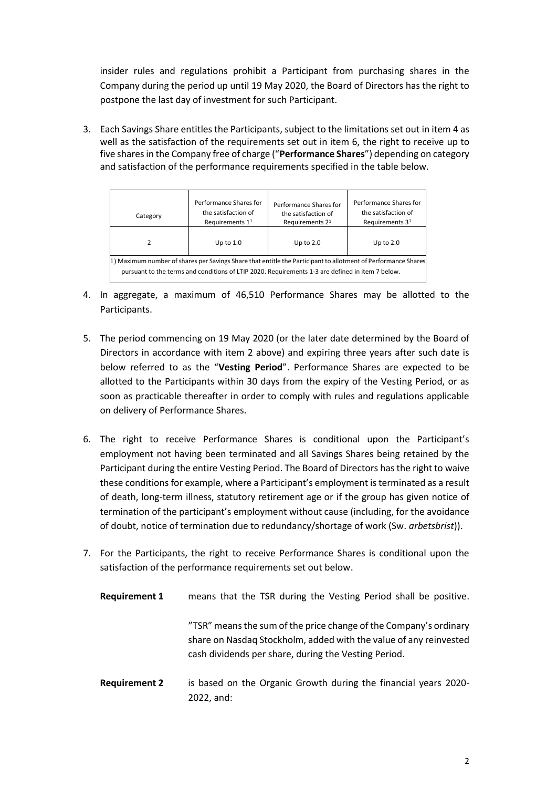insider rules and regulations prohibit a Participant from purchasing shares in the Company during the period up until 19 May 2020, the Board of Directors has the right to postpone the last day of investment for such Participant.

3. Each Savings Share entitles the Participants, subject to the limitations set out in item 4 as well as the satisfaction of the requirements set out in item 6, the right to receive up to five shares in the Company free of charge ("**Performance Shares**") depending on category and satisfaction of the performance requirements specified in the table below.

| Category                                                                                                                                                                                                          | Performance Shares for<br>the satisfaction of<br>Requirements 1 <sup>1</sup> | Performance Shares for<br>the satisfaction of<br>Requirements 2 <sup>1</sup> | Performance Shares for<br>the satisfaction of<br>Requirements 3 <sup>1</sup> |
|-------------------------------------------------------------------------------------------------------------------------------------------------------------------------------------------------------------------|------------------------------------------------------------------------------|------------------------------------------------------------------------------|------------------------------------------------------------------------------|
|                                                                                                                                                                                                                   | Up to $1.0$                                                                  | Up to $2.0$                                                                  | Up to $2.0$                                                                  |
| 1) Maximum number of shares per Savings Share that entitle the Participant to allotment of Performance Shares<br>pursuant to the terms and conditions of LTIP 2020. Requirements 1-3 are defined in item 7 below. |                                                                              |                                                                              |                                                                              |

- 4. In aggregate, a maximum of 46,510 Performance Shares may be allotted to the Participants.
- 5. The period commencing on 19 May 2020 (or the later date determined by the Board of Directors in accordance with item 2 above) and expiring three years after such date is below referred to as the "**Vesting Period**". Performance Shares are expected to be allotted to the Participants within 30 days from the expiry of the Vesting Period, or as soon as practicable thereafter in order to comply with rules and regulations applicable on delivery of Performance Shares.
- 6. The right to receive Performance Shares is conditional upon the Participant's employment not having been terminated and all Savings Shares being retained by the Participant during the entire Vesting Period. The Board of Directors has the right to waive these conditions for example, where a Participant's employment is terminated as a result of death, long-term illness, statutory retirement age or if the group has given notice of termination of the participant's employment without cause (including, for the avoidance of doubt, notice of termination due to redundancy/shortage of work (Sw. *arbetsbrist*)).
- 7. For the Participants, the right to receive Performance Shares is conditional upon the satisfaction of the performance requirements set out below.
	- **Requirement 1** means that the TSR during the Vesting Period shall be positive. "TSR" means the sum of the price change of the Company's ordinary share on Nasdaq Stockholm, added with the value of any reinvested cash dividends per share, during the Vesting Period.
	- **Requirement 2** is based on the Organic Growth during the financial years 2020- 2022, and: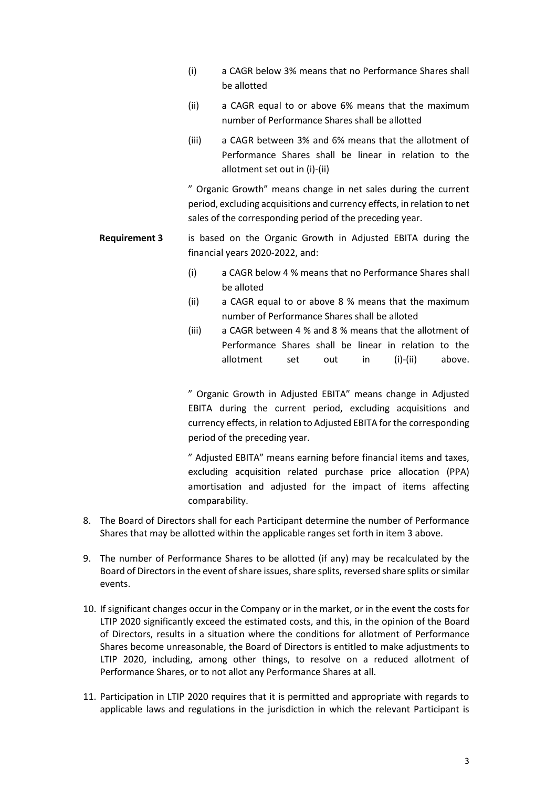- (i) a CAGR below 3% means that no Performance Shares shall be allotted
- (ii) a CAGR equal to or above 6% means that the maximum number of Performance Shares shall be allotted
- (iii) a CAGR between 3% and 6% means that the allotment of Performance Shares shall be linear in relation to the allotment set out in (i)-(ii)

" Organic Growth" means change in net sales during the current period, excluding acquisitions and currency effects, in relation to net sales of the corresponding period of the preceding year.

- **Requirement 3** is based on the Organic Growth in Adjusted EBITA during the financial years 2020-2022, and:
	- (i) a CAGR below 4 % means that no Performance Shares shall be alloted
	- (ii) a CAGR equal to or above 8 % means that the maximum number of Performance Shares shall be alloted
	- (iii) a CAGR between 4 % and 8 % means that the allotment of Performance Shares shall be linear in relation to the allotment set out in (i)-(ii) above.

" Organic Growth in Adjusted EBITA" means change in Adjusted EBITA during the current period, excluding acquisitions and currency effects, in relation to Adjusted EBITA for the corresponding period of the preceding year.

" Adjusted EBITA" means earning before financial items and taxes, excluding acquisition related purchase price allocation (PPA) amortisation and adjusted for the impact of items affecting comparability.

- 8. The Board of Directors shall for each Participant determine the number of Performance Shares that may be allotted within the applicable ranges set forth in item 3 above.
- 9. The number of Performance Shares to be allotted (if any) may be recalculated by the Board of Directorsin the event of share issues, share splits, reversed share splits or similar events.
- 10. If significant changes occur in the Company or in the market, or in the event the costs for LTIP 2020 significantly exceed the estimated costs, and this, in the opinion of the Board of Directors, results in a situation where the conditions for allotment of Performance Shares become unreasonable, the Board of Directors is entitled to make adjustments to LTIP 2020, including, among other things, to resolve on a reduced allotment of Performance Shares, or to not allot any Performance Shares at all.
- 11. Participation in LTIP 2020 requires that it is permitted and appropriate with regards to applicable laws and regulations in the jurisdiction in which the relevant Participant is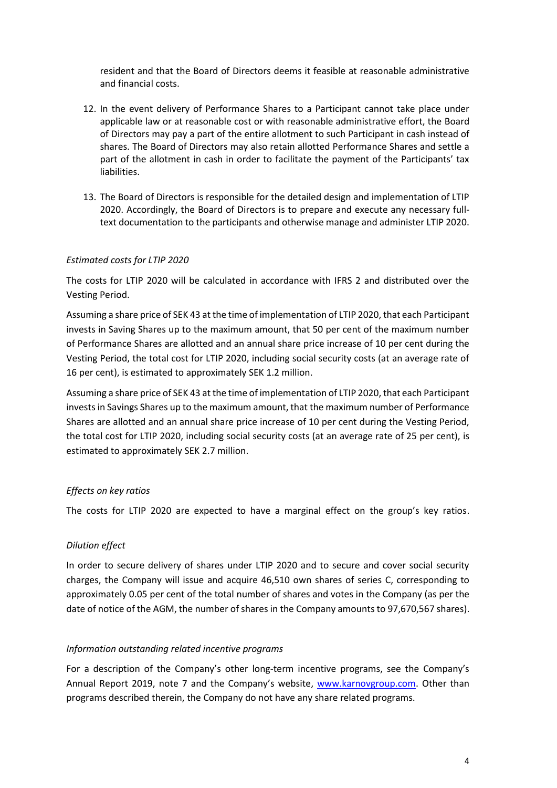resident and that the Board of Directors deems it feasible at reasonable administrative and financial costs.

- 12. In the event delivery of Performance Shares to a Participant cannot take place under applicable law or at reasonable cost or with reasonable administrative effort, the Board of Directors may pay a part of the entire allotment to such Participant in cash instead of shares. The Board of Directors may also retain allotted Performance Shares and settle a part of the allotment in cash in order to facilitate the payment of the Participants' tax liabilities.
- 13. The Board of Directors is responsible for the detailed design and implementation of LTIP 2020. Accordingly, the Board of Directors is to prepare and execute any necessary fulltext documentation to the participants and otherwise manage and administer LTIP 2020.

### *Estimated costs for LTIP 2020*

The costs for LTIP 2020 will be calculated in accordance with IFRS 2 and distributed over the Vesting Period.

Assuming a share price of SEK 43 at the time of implementation of LTIP 2020, that each Participant invests in Saving Shares up to the maximum amount, that 50 per cent of the maximum number of Performance Shares are allotted and an annual share price increase of 10 per cent during the Vesting Period, the total cost for LTIP 2020, including social security costs (at an average rate of 16 per cent), is estimated to approximately SEK 1.2 million.

Assuming a share price of SEK 43 at the time of implementation of LTIP 2020, that each Participant invests in Savings Shares up to the maximum amount, that the maximum number of Performance Shares are allotted and an annual share price increase of 10 per cent during the Vesting Period, the total cost for LTIP 2020, including social security costs (at an average rate of 25 per cent), is estimated to approximately SEK 2.7 million.

### *Effects on key ratios*

The costs for LTIP 2020 are expected to have a marginal effect on the group's key ratios.

### *Dilution effect*

In order to secure delivery of shares under LTIP 2020 and to secure and cover social security charges, the Company will issue and acquire 46,510 own shares of series C, corresponding to approximately 0.05 per cent of the total number of shares and votes in the Company (as per the date of notice of the AGM, the number of shares in the Company amounts to 97,670,567 shares).

### *Information outstanding related incentive programs*

For a description of the Company's other long-term incentive programs, see the Company's Annual Report 2019, note 7 and the Company's website, [www.karnovgroup.com.](http://www.karnovgroup.com/) Other than programs described therein, the Company do not have any share related programs.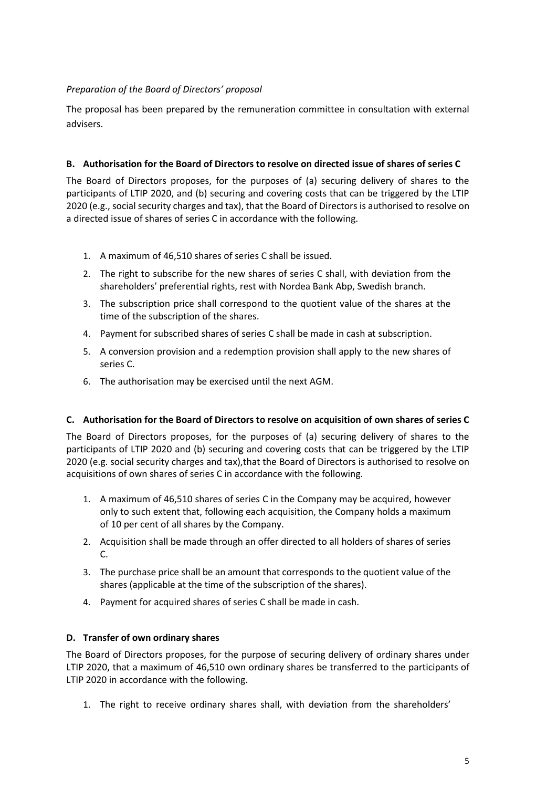## *Preparation of the Board of Directors' proposal*

The proposal has been prepared by the remuneration committee in consultation with external advisers.

## **B. Authorisation for the Board of Directors to resolve on directed issue of shares of series C**

The Board of Directors proposes, for the purposes of (a) securing delivery of shares to the participants of LTIP 2020, and (b) securing and covering costs that can be triggered by the LTIP 2020 (e.g., social security charges and tax), that the Board of Directors is authorised to resolve on a directed issue of shares of series C in accordance with the following.

- 1. A maximum of 46,510 shares of series C shall be issued.
- 2. The right to subscribe for the new shares of series C shall, with deviation from the shareholders' preferential rights, rest with Nordea Bank Abp, Swedish branch.
- 3. The subscription price shall correspond to the quotient value of the shares at the time of the subscription of the shares.
- 4. Payment for subscribed shares of series C shall be made in cash at subscription.
- 5. A conversion provision and a redemption provision shall apply to the new shares of series C.
- 6. The authorisation may be exercised until the next AGM.

## **C. Authorisation for the Board of Directors to resolve on acquisition of own shares of series C**

The Board of Directors proposes, for the purposes of (a) securing delivery of shares to the participants of LTIP 2020 and (b) securing and covering costs that can be triggered by the LTIP 2020 (e.g. social security charges and tax),that the Board of Directors is authorised to resolve on acquisitions of own shares of series C in accordance with the following.

- 1. A maximum of 46,510 shares of series C in the Company may be acquired, however only to such extent that, following each acquisition, the Company holds a maximum of 10 per cent of all shares by the Company.
- 2. Acquisition shall be made through an offer directed to all holders of shares of series C.
- 3. The purchase price shall be an amount that corresponds to the quotient value of the shares (applicable at the time of the subscription of the shares).
- 4. Payment for acquired shares of series C shall be made in cash.

# **D. Transfer of own ordinary shares**

The Board of Directors proposes, for the purpose of securing delivery of ordinary shares under LTIP 2020, that a maximum of 46,510 own ordinary shares be transferred to the participants of LTIP 2020 in accordance with the following.

1. The right to receive ordinary shares shall, with deviation from the shareholders'